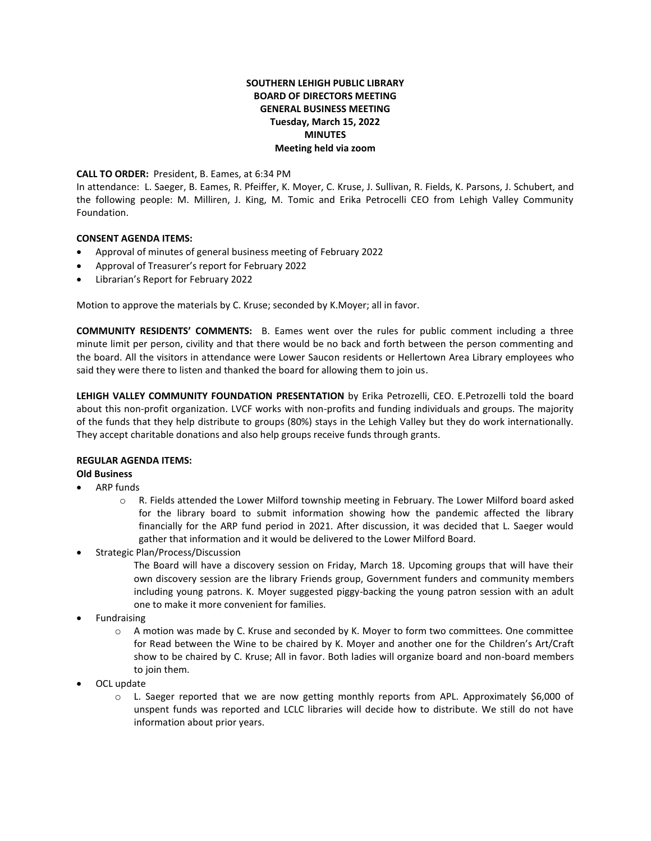## **SOUTHERN LEHIGH PUBLIC LIBRARY BOARD OF DIRECTORS MEETING GENERAL BUSINESS MEETING Tuesday, March 15, 2022 MINUTES Meeting held via zoom**

**CALL TO ORDER:** President, B. Eames, at 6:34 PM

In attendance: L. Saeger, B. Eames, R. Pfeiffer, K. Moyer, C. Kruse, J. Sullivan, R. Fields, K. Parsons, J. Schubert, and the following people: M. Milliren, J. King, M. Tomic and Erika Petrocelli CEO from Lehigh Valley Community Foundation.

#### **CONSENT AGENDA ITEMS:**

- Approval of minutes of general business meeting of February 2022
- Approval of Treasurer's report for February 2022
- Librarian's Report for February 2022

Motion to approve the materials by C. Kruse; seconded by K.Moyer; all in favor.

**COMMUNITY RESIDENTS' COMMENTS:** B. Eames went over the rules for public comment including a three minute limit per person, civility and that there would be no back and forth between the person commenting and the board. All the visitors in attendance were Lower Saucon residents or Hellertown Area Library employees who said they were there to listen and thanked the board for allowing them to join us.

**LEHIGH VALLEY COMMUNITY FOUNDATION PRESENTATION** by Erika Petrozelli, CEO. E.Petrozelli told the board about this non-profit organization. LVCF works with non-profits and funding individuals and groups. The majority of the funds that they help distribute to groups (80%) stays in the Lehigh Valley but they do work internationally. They accept charitable donations and also help groups receive funds through grants.

# **REGULAR AGENDA ITEMS:**

### **Old Business**

- ARP funds
	- o R. Fields attended the Lower Milford township meeting in February. The Lower Milford board asked for the library board to submit information showing how the pandemic affected the library financially for the ARP fund period in 2021. After discussion, it was decided that L. Saeger would gather that information and it would be delivered to the Lower Milford Board.
- Strategic Plan/Process/Discussion

The Board will have a discovery session on Friday, March 18. Upcoming groups that will have their own discovery session are the library Friends group, Government funders and community members including young patrons. K. Moyer suggested piggy-backing the young patron session with an adult one to make it more convenient for families.

- Fundraising
	- o A motion was made by C. Kruse and seconded by K. Moyer to form two committees. One committee for Read between the Wine to be chaired by K. Moyer and another one for the Children's Art/Craft show to be chaired by C. Kruse; All in favor. Both ladies will organize board and non-board members to join them.
- OCL update
	- $\circ$  L. Saeger reported that we are now getting monthly reports from APL. Approximately \$6,000 of unspent funds was reported and LCLC libraries will decide how to distribute. We still do not have information about prior years.